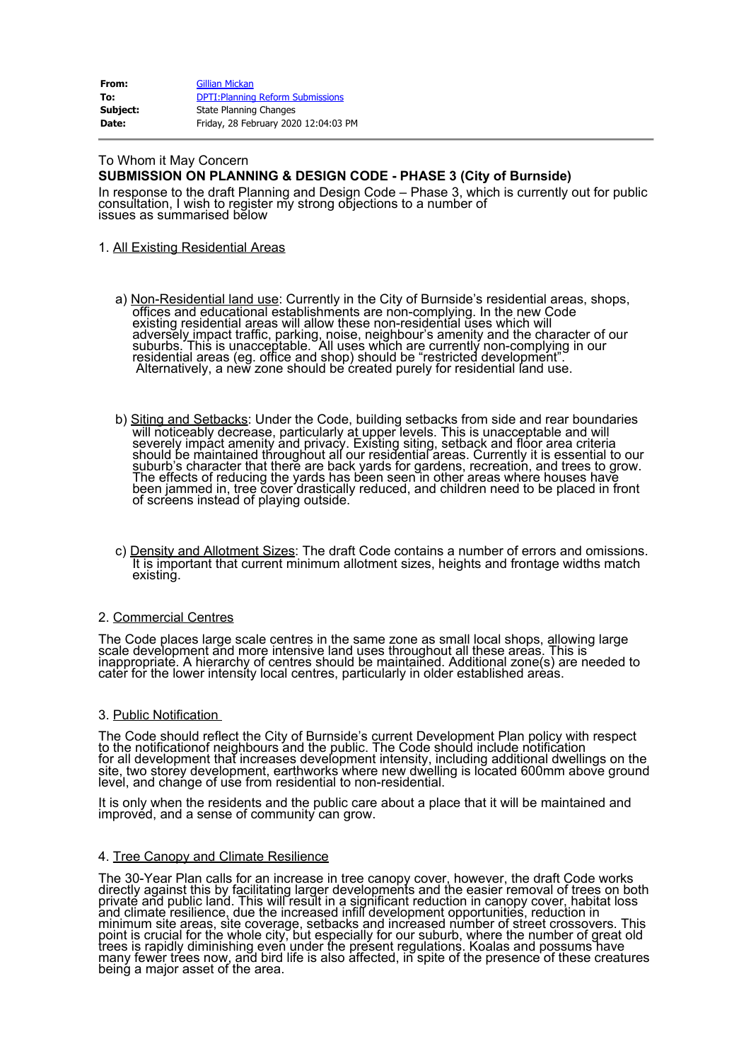| From:    | <b>Gillian Mickan</b>                    |
|----------|------------------------------------------|
| To:      | <b>DPTI: Planning Reform Submissions</b> |
| Subject: | State Planning Changes                   |
| Date:    | Friday, 28 February 2020 12:04:03 PM     |

#### To Whom it May Concern **SUBMISSION ON PLANNING & DESIGN CODE - PHASE 3 (City of Burnside)**

In response to the draft Planning and Design Code – Phase 3, which is currently out for public consultation, I wish to register my strong objections to a number of issues as summarised below

# 1. All Existing Residential Areas

- a) Non-Residential land use: Currently in the City of Burnside's residential areas, shops, offices and educational establishments are non-complying. In the new Code existing residential areas will allow these non-residential uses which will adversel<u>y i</u>mpact traffic, parking, noise, neighbour's amenity and the character of our suburbs. This is unacceptable. All uses which are currently non-complying in our residential areas (eg. office and shop) should be "restricted development". Alternatively, a new zone should be created purely for residential land use.
- b) <u>Siting and Setbacks</u>: Under the Code, building setbacks from side and rear boundaries will noticeably decrease, particularly at upper levels. This is unacceptable and will<br>severely impact amenity and privacy. Existing siting, setback and floor area criteria should be maintained throughout all our residential areas. Currently it is essential to our suburb's character that there are back yards for gardens, recreation, and trees to grow. The effects of reducing the yards has been seen in other areas where houses have been jammed in, tree cover drastically reduced, and children need to be placed in front of screens instead of playing outside.
- c) Density and Allotment Sizes: The draft Code contains a number of errors and omissions. It is important that current minimum allotment sizes, heights and frontage widths match existing.

# 2. Commercial Centres

The Code places large scale centres in the same zone as small local shops, allowing large scale development and more intensive land uses throughout all these areas. This isັ<br>inappropriate. A hierarchy of centres should be maintained. Additional zone(s) are needed to cater for the lower intensity local centres, particularly in older established arèas.

#### 3. Public Notification

The Code should reflect the City of Burnside's current Development Plan policy with respect to the notificationof neighbours and the public. The Code should include notification for all development that increases development intensity, including additional dwellings on the<br>site, two storey development, earthworks where new dwelling is located 600mm above ground level, and change of use from residential to non-residential.

It is only when the residents and the public care about a place that it will be maintained and improved, and a sense of community can grow.

### 4. Tree Canopy and Climate Resilience

The 30-Year Plan calls for an increase in tree canopy cover, however, the draft Code works directly against this by facilitating larger developments and the easier removal of trees on both private and public land. This will result in a significant reduction in canopy cover, habitat loss<br>and climate resilience, due the increased infill development opportunities, reduction in \_ minimum site areas, site coverage, setbacks and increased number of street crossovers. This point is crucial for the whole city, but especially for our suburb, where the number of great old trees is rapidly diminishing even under the present regulations. Koalas and possums have many fewer trees now, and bird life is also affected, in spite of the presence of these creatures being a major asset of the area.